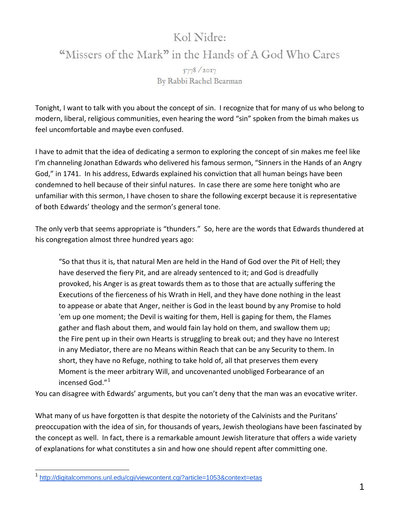## Kol Nidre:

"Missers of the Mark" in the Hands of A God Who Cares

 $5778/2017$ By Rabbi Rachel Bearman

Tonight, I want to talk with you about the concept of sin. I recognize that for many of us who belong to modern, liberal, religious communities, even hearing the word "sin" spoken from the bimah makes us feel uncomfortable and maybe even confused.

I have to admit that the idea of dedicating a sermon to exploring the concept of sin makes me feel like I'm channeling Jonathan Edwards who delivered his famous sermon, "Sinners in the Hands of an Angry God," in 1741. In his address, Edwards explained his conviction that all human beings have been condemned to hell because of their sinful natures. In case there are some here tonight who are unfamiliar with this sermon, I have chosen to share the following excerpt because it is representative of both Edwards' theology and the sermon's general tone.

The only verb that seems appropriate is "thunders." So, here are the words that Edwards thundered at his congregation almost three hundred years ago:

"So that thus it is, that natural Men are held in the Hand of God over the Pit of Hell; they have deserved the fiery Pit, and are already sentenced to it; and God is dreadfully provoked, his Anger is as great towards them as to those that are actually suffering the Executions of the fierceness of his Wrath in Hell, and they have done nothing in the least to appease or abate that Anger, neither is God in the least bound by any Promise to hold 'em up one moment; the Devil is waiting for them, Hell is gaping for them, the Flames gather and flash about them, and would fain lay hold on them, and swallow them up; the Fire pent up in their own Hearts is struggling to break out; and they have no Interest in any Mediator, there are no Means within Reach that can be any Security to them. In short, they have no Refuge, nothing to take hold of, all that preserves them every Moment is the meer arbitrary Will, and uncovenanted unobliged Forbearance of an incensed God."<sup>[1](#page-0-0)</sup>

You can disagree with Edwards' arguments, but you can't deny that the man was an evocative writer.

What many of us have forgotten is that despite the notoriety of the Calvinists and the Puritans' preoccupation with the idea of sin, for thousands of years, Jewish theologians have been fascinated by the concept as well. In fact, there is a remarkable amount Jewish literature that offers a wide variety of explanations for what constitutes a sin and how one should repent after committing one.

 $\overline{a}$ 

<span id="page-0-0"></span><sup>1</sup> <http://digitalcommons.unl.edu/cgi/viewcontent.cgi?article=1053&context=etas>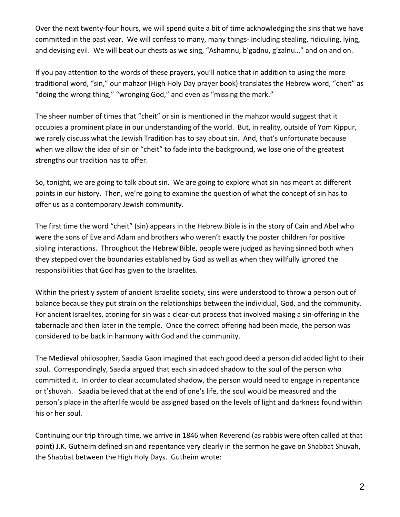Over the next twenty-four hours, we will spend quite a bit of time acknowledging the sins that we have committed in the past year. We will confess to many, many things- including stealing, ridiculing, lying, and devising evil. We will beat our chests as we sing, "Ashamnu, b'gadnu, g'zalnu…" and on and on.

If you pay attention to the words of these prayers, you'll notice that in addition to using the more traditional word, "sin," our mahzor (High Holy Day prayer book) translates the Hebrew word, "cheit" as "doing the wrong thing," "wronging God," and even as "missing the mark."

The sheer number of times that "cheit" or sin is mentioned in the mahzor would suggest that it occupies a prominent place in our understanding of the world. But, in reality, outside of Yom Kippur, we rarely discuss what the Jewish Tradition has to say about sin. And, that's unfortunate because when we allow the idea of sin or "cheit" to fade into the background, we lose one of the greatest strengths our tradition has to offer.

So, tonight, we are going to talk about sin. We are going to explore what sin has meant at different points in our history. Then, we're going to examine the question of what the concept of sin has to offer us as a contemporary Jewish community.

The first time the word "cheit" (sin) appears in the Hebrew Bible is in the story of Cain and Abel who were the sons of Eve and Adam and brothers who weren't exactly the poster children for positive sibling interactions. Throughout the Hebrew Bible, people were judged as having sinned both when they stepped over the boundaries established by God as well as when they willfully ignored the responsibilities that God has given to the Israelites.

Within the priestly system of ancient Israelite society, sins were understood to throw a person out of balance because they put strain on the relationships between the individual, God, and the community. For ancient Israelites, atoning for sin was a clear-cut process that involved making a sin-offering in the tabernacle and then later in the temple. Once the correct offering had been made, the person was considered to be back in harmony with God and the community.

The Medieval philosopher, Saadia Gaon imagined that each good deed a person did added light to their soul. Correspondingly, Saadia argued that each sin added shadow to the soul of the person who committed it. In order to clear accumulated shadow, the person would need to engage in repentance or t'shuvah. Saadia believed that at the end of one's life, the soul would be measured and the person's place in the afterlife would be assigned based on the levels of light and darkness found within his or her soul.

Continuing our trip through time, we arrive in 1846 when Reverend (as rabbis were often called at that point) J.K. Gutheim defined sin and repentance very clearly in the sermon he gave on Shabbat Shuvah, the Shabbat between the High Holy Days. Gutheim wrote: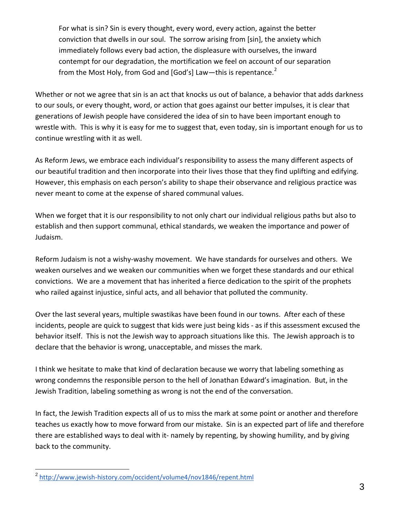For what is sin? Sin is every thought, every word, every action, against the better conviction that dwells in our soul. The sorrow arising from [sin], the anxiety which immediately follows every bad action, the displeasure with ourselves, the inward contempt for our degradation, the mortification we feel on account of our separation from the Most Holy, from God and [God's] Law-this is repentance.<sup>[2](#page-2-0)</sup>

Whether or not we agree that sin is an act that knocks us out of balance, a behavior that adds darkness to our souls, or every thought, word, or action that goes against our better impulses, it is clear that generations of Jewish people have considered the idea of sin to have been important enough to wrestle with. This is why it is easy for me to suggest that, even today, sin is important enough for us to continue wrestling with it as well.

As Reform Jews, we embrace each individual's responsibility to assess the many different aspects of our beautiful tradition and then incorporate into their lives those that they find uplifting and edifying. However, this emphasis on each person's ability to shape their observance and religious practice was never meant to come at the expense of shared communal values.

When we forget that it is our responsibility to not only chart our individual religious paths but also to establish and then support communal, ethical standards, we weaken the importance and power of Judaism.

Reform Judaism is not a wishy-washy movement. We have standards for ourselves and others. We weaken ourselves and we weaken our communities when we forget these standards and our ethical convictions. We are a movement that has inherited a fierce dedication to the spirit of the prophets who railed against injustice, sinful acts, and all behavior that polluted the community.

Over the last several years, multiple swastikas have been found in our towns. After each of these incidents, people are quick to suggest that kids were just being kids - as if this assessment excused the behavior itself. This is not the Jewish way to approach situations like this. The Jewish approach is to declare that the behavior is wrong, unacceptable, and misses the mark.

I think we hesitate to make that kind of declaration because we worry that labeling something as wrong condemns the responsible person to the hell of Jonathan Edward's imagination. But, in the Jewish Tradition, labeling something as wrong is not the end of the conversation.

In fact, the Jewish Tradition expects all of us to miss the mark at some point or another and therefore teaches us exactly how to move forward from our mistake. Sin is an expected part of life and therefore there are established ways to deal with it- namely by repenting, by showing humility, and by giving back to the community.

<span id="page-2-0"></span><sup>2</sup> <http://www.jewish-history.com/occident/volume4/nov1846/repent.html>  $\overline{a}$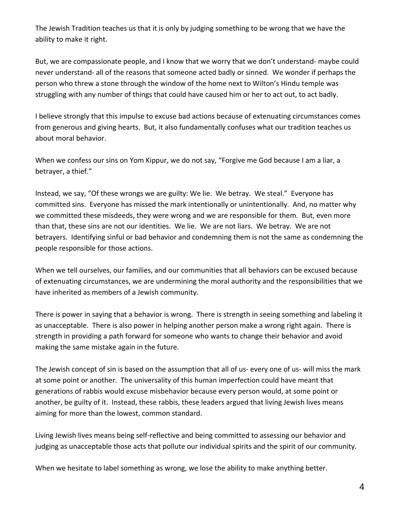The Jewish Tradition teaches us that it is only by judging something to be wrong that we have the ability to make it right.

But, we are compassionate people, and I know that we worry that we don't understand- maybe could never understand- all of the reasons that someone acted badly or sinned. We wonder if perhaps the person who threw a stone through the window of the home next to Wilton's Hindu temple was struggling with any number of things that could have caused him or her to act out, to act badly.

I believe strongly that this impulse to excuse bad actions because of extenuating circumstances comes from generous and giving hearts. But, it also fundamentally confuses what our tradition teaches us about moral behavior.

When we confess our sins on Yom Kippur, we do not say, "Forgive me God because I am a liar, a betrayer, a thief."

Instead, we say, "Of these wrongs we are guilty: We lie. We betray. We steal." Everyone has committed sins. Everyone has missed the mark intentionally or unintentionally. And, no matter why we committed these misdeeds, they were wrong and we are responsible for them. But, even more than that, these sins are not our identities. We lie. We are not liars. We betray. We are not betrayers. Identifying sinful or bad behavior and condemning them is not the same as condemning the people responsible for those actions.

When we tell ourselves, our families, and our communities that all behaviors can be excused because of extenuating circumstances, we are undermining the moral authority and the responsibilities that we have inherited as members of a Jewish community.

There is power in saying that a behavior is wrong. There is strength in seeing something and labeling it as unacceptable. There is also power in helping another person make a wrong right again. There is strength in providing a path forward for someone who wants to change their behavior and avoid making the same mistake again in the future.

The Jewish concept of sin is based on the assumption that all of us- every one of us- will miss the mark at some point or another. The universality of this human imperfection could have meant that generations of rabbis would excuse misbehavior because every person would, at some point or another, be guilty of it. Instead, these rabbis, these leaders argued that living Jewish lives means aiming for more than the lowest, common standard.

Living Jewish lives means being self-reflective and being committed to assessing our behavior and judging as unacceptable those acts that pollute our individual spirits and the spirit of our community.

When we hesitate to label something as wrong, we lose the ability to make anything better.